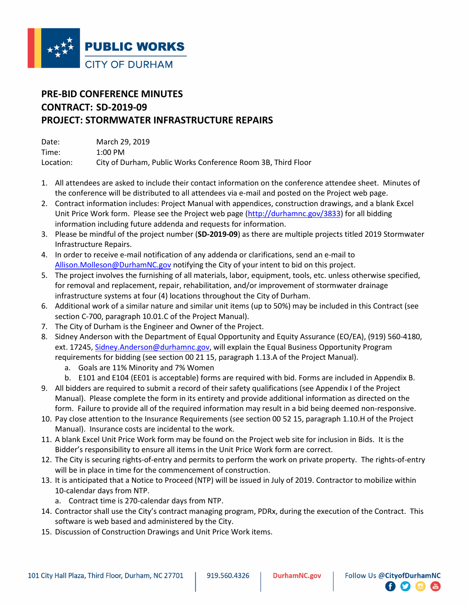

## **PRE-BID CONFERENCE MINUTES CONTRACT: SD-2019-09 PROJECT: STORMWATER INFRASTRUCTURE REPAIRS**

| Date:     | March 29, 2019                                               |
|-----------|--------------------------------------------------------------|
| Time:     | $1:00 \text{ PM}$                                            |
| Location: | City of Durham, Public Works Conference Room 3B, Third Floor |

- 1. All attendees are asked to include their contact information on the conference attendee sheet. Minutes of the conference will be distributed to all attendees via e-mail and posted on the Project web page.
- 2. Contract information includes: Project Manual with appendices, construction drawings, and a blank Excel Unit Price Work form. Please see the Project web page [\(http://durhamnc.gov/3833\)](http://durhamnc.gov/3833) for all bidding information including future addenda and requests for information.
- 3. Please be mindful of the project number (**SD-2019-09**) as there are multiple projects titled 2019 Stormwater Infrastructure Repairs.
- 4. In order to receive e-mail notification of any addenda or clarifications, send an e-mail to [Allison.Molleson@DurhamNC.gov](mailto:Allison.Molleson@DurhamNC.gov) notifying the City of your intent to bid on this project.
- 5. The project involves the furnishing of all materials, labor, equipment, tools, etc. unless otherwise specified, for removal and replacement, repair, rehabilitation, and/or improvement of stormwater drainage infrastructure systems at four (4) locations throughout the City of Durham.
- 6. Additional work of a similar nature and similar unit items (up to 50%) may be included in this Contract (see section C-700, paragraph 10.01.C of the Project Manual).
- 7. The City of Durham is the Engineer and Owner of the Project.
- 8. Sidney Anderson with the Department of Equal Opportunity and Equity Assurance (EO/EA), (919) 560-4180, ext. 17245, [Sidney.Anderson@durhamnc.gov,](mailto:Sidney.Anderson@durhamnc.gov) will explain the Equal Business Opportunity Program requirements for bidding (see section 00 21 15, paragraph 1.13.A of the Project Manual).
	- a. Goals are 11% Minority and 7% Women
	- b. E101 and E104 (EE01 is acceptable) forms are required with bid. Forms are included in Appendix B.
- 9. All bidders are required to submit a record of their safety qualifications (see Appendix I of the Project Manual). Please complete the form in its entirety and provide additional information as directed on the form. Failure to provide all of the required information may result in a bid being deemed non-responsive.
- 10. Pay close attention to the Insurance Requirements (see section 00 52 15, paragraph 1.10.H of the Project Manual). Insurance costs are incidental to the work.
- 11. A blank Excel Unit Price Work form may be found on the Project web site for inclusion in Bids. It is the Bidder's responsibility to ensure all items in the Unit Price Work form are correct.
- 12. The City is securing rights-of-entry and permits to perform the work on private property. The rights-of-entry will be in place in time for the commencement of construction.
- 13. It is anticipated that a Notice to Proceed (NTP) will be issued in July of 2019. Contractor to mobilize within 10-calendar days from NTP.
	- a. Contract time is 270-calendar days from NTP.
- 14. Contractor shall use the City's contract managing program, PDRx, during the execution of the Contract. This software is web based and administered by the City.
- 15. Discussion of Construction Drawings and Unit Price Work items.

 $\bullet$   $\bullet$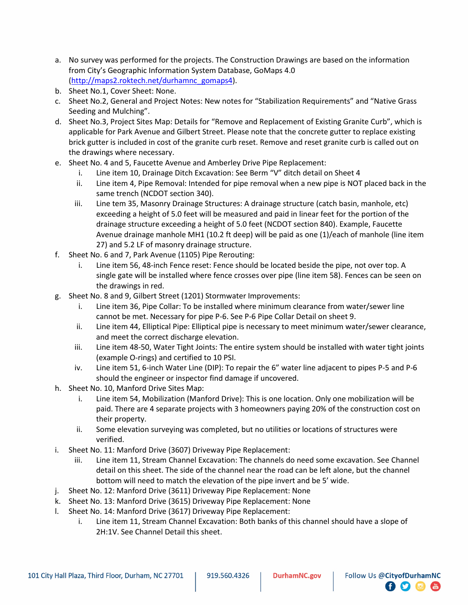- a. No survey was performed for the projects. The Construction Drawings are based on the information from City's Geographic Information System Database, GoMaps 4.0 [\(http://maps2.roktech.net/durhamnc\\_gomaps4\)](http://maps2.roktech.net/durhamnc_gomaps4).
- b. Sheet No.1, Cover Sheet: None.
- c. Sheet No.2, General and Project Notes: New notes for "Stabilization Requirements" and "Native Grass Seeding and Mulching".
- d. Sheet No.3, Project Sites Map: Details for "Remove and Replacement of Existing Granite Curb", which is applicable for Park Avenue and Gilbert Street. Please note that the concrete gutter to replace existing brick gutter is included in cost of the granite curb reset. Remove and reset granite curb is called out on the drawings where necessary.
- e. Sheet No. 4 and 5, Faucette Avenue and Amberley Drive Pipe Replacement:
	- i. Line item 10, Drainage Ditch Excavation: See Berm "V" ditch detail on Sheet 4
	- ii. Line item 4, Pipe Removal: Intended for pipe removal when a new pipe is NOT placed back in the same trench (NCDOT section 340).
	- iii. Line tem 35, Masonry Drainage Structures: A drainage structure (catch basin, manhole, etc) exceeding a height of 5.0 feet will be measured and paid in linear feet for the portion of the drainage structure exceeding a height of 5.0 feet (NCDOT section 840). Example, Faucette Avenue drainage manhole MH1 (10.2 ft deep) will be paid as one (1)/each of manhole (line item 27) and 5.2 LF of masonry drainage structure.
- f. Sheet No. 6 and 7, Park Avenue (1105) Pipe Rerouting:
	- i. Line item 56, 48-inch Fence reset: Fence should be located beside the pipe, not over top. A single gate will be installed where fence crosses over pipe (line item 58). Fences can be seen on the drawings in red.
- g. Sheet No. 8 and 9, Gilbert Street (1201) Stormwater Improvements:
	- i. Line item 36, Pipe Collar: To be installed where minimum clearance from water/sewer line cannot be met. Necessary for pipe P-6. See P-6 Pipe Collar Detail on sheet 9.
	- ii. Line item 44, Elliptical Pipe: Elliptical pipe is necessary to meet minimum water/sewer clearance, and meet the correct discharge elevation.
	- iii. Line item 48-50, Water Tight Joints: The entire system should be installed with water tight joints (example O-rings) and certified to 10 PSI.
	- iv. Line item 51, 6-inch Water Line (DIP): To repair the 6" water line adjacent to pipes P-5 and P-6 should the engineer or inspector find damage if uncovered.
- h. Sheet No. 10, Manford Drive Sites Map:
	- i. Line item 54, Mobilization (Manford Drive): This is one location. Only one mobilization will be paid. There are 4 separate projects with 3 homeowners paying 20% of the construction cost on their property.
	- ii. Some elevation surveying was completed, but no utilities or locations of structures were verified.
- i. Sheet No. 11: Manford Drive (3607) Driveway Pipe Replacement:
	- iii. Line item 11, Stream Channel Excavation: The channels do need some excavation. See Channel detail on this sheet. The side of the channel near the road can be left alone, but the channel bottom will need to match the elevation of the pipe invert and be 5' wide.
- j. Sheet No. 12: Manford Drive (3611) Driveway Pipe Replacement: None
- k. Sheet No. 13: Manford Drive (3615) Driveway Pipe Replacement: None
- l. Sheet No. 14: Manford Drive (3617) Driveway Pipe Replacement:
	- i. Line item 11, Stream Channel Excavation: Both banks of this channel should have a slope of 2H:1V. See Channel Detail this sheet.

**日り回信**